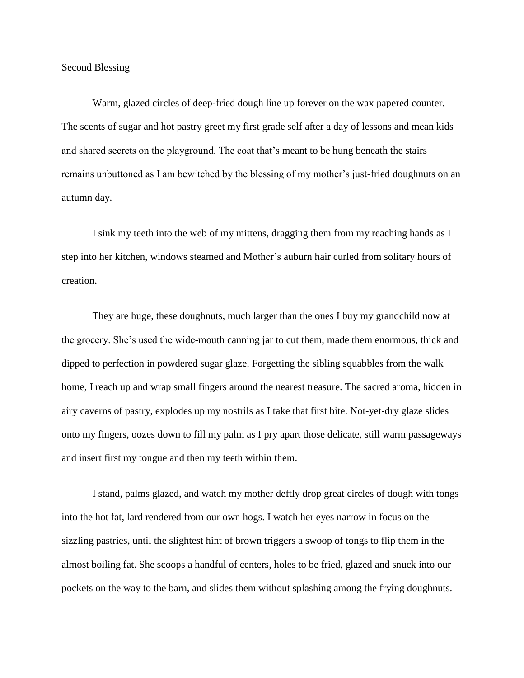Second Blessing

Warm, glazed circles of deep-fried dough line up forever on the wax papered counter. The scents of sugar and hot pastry greet my first grade self after a day of lessons and mean kids and shared secrets on the playground. The coat that's meant to be hung beneath the stairs remains unbuttoned as I am bewitched by the blessing of my mother's just-fried doughnuts on an autumn day.

I sink my teeth into the web of my mittens, dragging them from my reaching hands as I step into her kitchen, windows steamed and Mother's auburn hair curled from solitary hours of creation.

They are huge, these doughnuts, much larger than the ones I buy my grandchild now at the grocery. She's used the wide-mouth canning jar to cut them, made them enormous, thick and dipped to perfection in powdered sugar glaze. Forgetting the sibling squabbles from the walk home, I reach up and wrap small fingers around the nearest treasure. The sacred aroma, hidden in airy caverns of pastry, explodes up my nostrils as I take that first bite. Not-yet-dry glaze slides onto my fingers, oozes down to fill my palm as I pry apart those delicate, still warm passageways and insert first my tongue and then my teeth within them.

I stand, palms glazed, and watch my mother deftly drop great circles of dough with tongs into the hot fat, lard rendered from our own hogs. I watch her eyes narrow in focus on the sizzling pastries, until the slightest hint of brown triggers a swoop of tongs to flip them in the almost boiling fat. She scoops a handful of centers, holes to be fried, glazed and snuck into our pockets on the way to the barn, and slides them without splashing among the frying doughnuts.